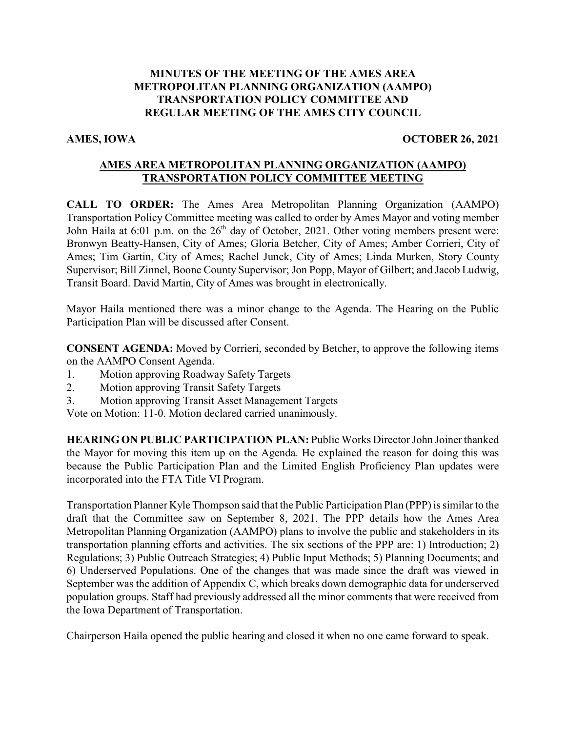## **MINUTES OF THE MEETING OF THE AMES AREA METROPOLITAN PLANNING ORGANIZATION (AAMPO) TRANSPORTATION POLICY COMMITTEE AND REGULAR MEETING OF THE AMES CITY COUNCIL**

### **AMES, IOWA OCTOBER 26, 2021**

## **AMES AREA METROPOLITAN PLANNING ORGANIZATION (AAMPO) TRANSPORTATION POLICY COMMITTEE MEETING**

**CALL TO ORDER:** The Ames Area Metropolitan Planning Organization (AAMPO) Transportation Policy Committee meeting was called to order by Ames Mayor and voting member John Haila at 6:01 p.m. on the 26<sup>th</sup> day of October, 2021. Other voting members present were: Bronwyn Beatty-Hansen, City of Ames; Gloria Betcher, City of Ames; Amber Corrieri, City of Ames; Tim Gartin, City of Ames; Rachel Junck, City of Ames; Linda Murken, Story County Supervisor; Bill Zinnel, Boone County Supervisor; Jon Popp, Mayor of Gilbert; and Jacob Ludwig, Transit Board. David Martin, City of Ames was brought in electronically.

Mayor Haila mentioned there was a minor change to the Agenda. The Hearing on the Public Participation Plan will be discussed after Consent.

**CONSENT AGENDA:** Moved by Corrieri, seconded by Betcher, to approve the following items on the AAMPO Consent Agenda.

- 1. Motion approving Roadway Safety Targets
- 2. Motion approving Transit Safety Targets
- 3. Motion approving Transit Asset Management Targets

Vote on Motion: 11-0. Motion declared carried unanimously.

**HEARING ON PUBLIC PARTICIPATION PLAN:** Public Works Director John Joiner thanked the Mayor for moving this item up on the Agenda. He explained the reason for doing this was because the Public Participation Plan and the Limited English Proficiency Plan updates were incorporated into the FTA Title VI Program.

Transportation Planner Kyle Thompson said that the Public Participation Plan (PPP) is similar to the draft that the Committee saw on September 8, 2021. The PPP details how the Ames Area Metropolitan Planning Organization (AAMPO) plans to involve the public and stakeholders in its transportation planning efforts and activities. The six sections of the PPP are: 1) Introduction; 2) Regulations; 3) Public Outreach Strategies; 4) Public Input Methods; 5) Planning Documents; and 6) Underserved Populations. One of the changes that was made since the draft was viewed in September was the addition of Appendix C, which breaks down demographic data for underserved population groups. Staff had previously addressed all the minor comments that were received from the Iowa Department of Transportation.

Chairperson Haila opened the public hearing and closed it when no one came forward to speak.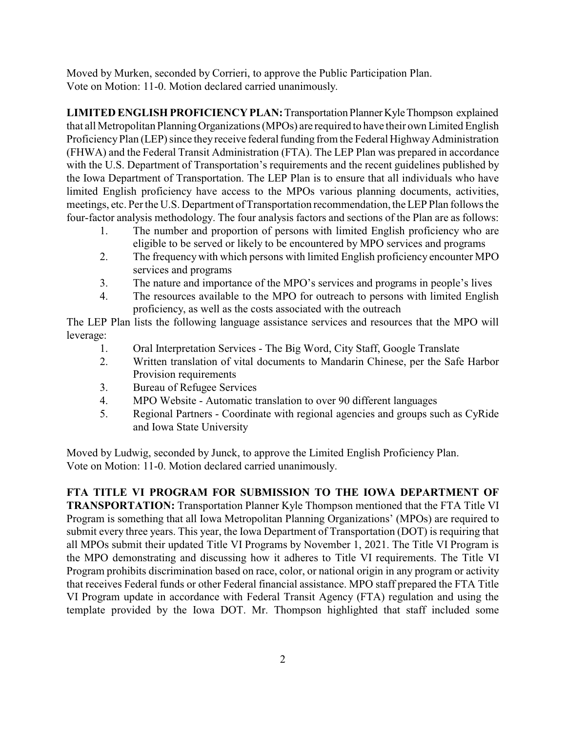Moved by Murken, seconded by Corrieri, to approve the Public Participation Plan. Vote on Motion: 11-0. Motion declared carried unanimously.

**LIMITED ENGLISH PROFICIENCY PLAN:** Transportation Planner Kyle Thompson explained that all Metropolitan PlanningOrganizations (MPOs) are required to have their own Limited English Proficiency Plan (LEP) since they receive federal funding from the Federal Highway Administration (FHWA) and the Federal Transit Administration (FTA). The LEP Plan was prepared in accordance with the U.S. Department of Transportation's requirements and the recent guidelines published by the Iowa Department of Transportation. The LEP Plan is to ensure that all individuals who have limited English proficiency have access to the MPOs various planning documents, activities, meetings, etc. Per the U.S. Department of Transportation recommendation, the LEP Plan follows the four-factor analysis methodology. The four analysis factors and sections of the Plan are as follows:

- 1. The number and proportion of persons with limited English proficiency who are eligible to be served or likely to be encountered by MPO services and programs
- 2. The frequencywith which persons with limited English proficiency encounter MPO services and programs
- 3. The nature and importance of the MPO's services and programs in people's lives
- 4. The resources available to the MPO for outreach to persons with limited English proficiency, as well as the costs associated with the outreach

The LEP Plan lists the following language assistance services and resources that the MPO will leverage:

- 1. Oral Interpretation Services The Big Word, City Staff, Google Translate
- 2. Written translation of vital documents to Mandarin Chinese, per the Safe Harbor Provision requirements
- 3. Bureau of Refugee Services
- 4. MPO Website Automatic translation to over 90 different languages
- 5. Regional Partners Coordinate with regional agencies and groups such as CyRide and Iowa State University

Moved by Ludwig, seconded by Junck, to approve the Limited English Proficiency Plan. Vote on Motion: 11-0. Motion declared carried unanimously.

# **FTA TITLE VI PROGRAM FOR SUBMISSION TO THE IOWA DEPARTMENT OF**

**TRANSPORTATION:** Transportation Planner Kyle Thompson mentioned that the FTA Title VI Program is something that all Iowa Metropolitan Planning Organizations' (MPOs) are required to submit every three years. This year, the Iowa Department of Transportation (DOT) is requiring that all MPOs submit their updated Title VI Programs by November 1, 2021. The Title VI Program is the MPO demonstrating and discussing how it adheres to Title VI requirements. The Title VI Program prohibits discrimination based on race, color, or national origin in any program or activity that receives Federal funds or other Federal financial assistance. MPO staff prepared the FTA Title VI Program update in accordance with Federal Transit Agency (FTA) regulation and using the template provided by the Iowa DOT. Mr. Thompson highlighted that staff included some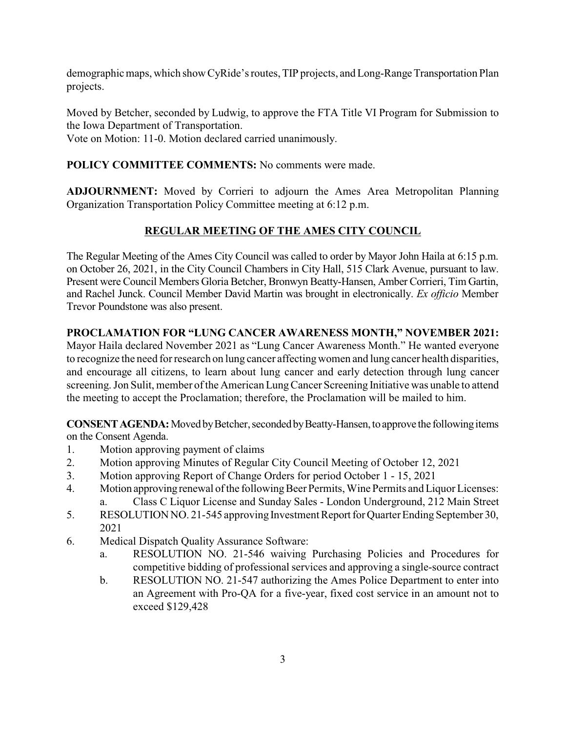demographic maps, which show CyRide's routes, TIP projects, and Long-Range Transportation Plan projects.

Moved by Betcher, seconded by Ludwig, to approve the FTA Title VI Program for Submission to the Iowa Department of Transportation.

Vote on Motion: 11-0. Motion declared carried unanimously.

## **POLICY COMMITTEE COMMENTS:** No comments were made.

**ADJOURNMENT:** Moved by Corrieri to adjourn the Ames Area Metropolitan Planning Organization Transportation Policy Committee meeting at 6:12 p.m.

# **REGULAR MEETING OF THE AMES CITY COUNCIL**

The Regular Meeting of the Ames City Council was called to order by Mayor John Haila at 6:15 p.m. on October 26, 2021, in the City Council Chambers in City Hall, 515 Clark Avenue, pursuant to law. Present were Council Members Gloria Betcher, Bronwyn Beatty-Hansen, Amber Corrieri, Tim Gartin, and Rachel Junck. Council Member David Martin was brought in electronically. *Ex officio* Member Trevor Poundstone was also present.

## **PROCLAMATION FOR "LUNG CANCER AWARENESS MONTH," NOVEMBER 2021:**

Mayor Haila declared November 2021 as "Lung Cancer Awareness Month." He wanted everyone to recognize the need for research on lung cancer affectingwomen and lung cancer health disparities, and encourage all citizens, to learn about lung cancer and early detection through lung cancer screening. Jon Sulit, member of the American Lung Cancer Screening Initiative was unable to attend the meeting to accept the Proclamation; therefore, the Proclamation will be mailed to him.

**CONSENT AGENDA:** Moved by Betcher, seconded by Beatty-Hansen, to approve the following items on the Consent Agenda.

- 1. Motion approving payment of claims
- 2. Motion approving Minutes of Regular City Council Meeting of October 12, 2021
- 3. Motion approving Report of Change Orders for period October 1 15, 2021
- 4. Motion approving renewal of the following Beer Permits, Wine Permits and Liquor Licenses: a. Class C Liquor License and Sunday Sales - London Underground, 212 Main Street
- 5. RESOLUTION NO. 21-545 approving Investment Report for Quarter Ending September 30, 2021
- 6. Medical Dispatch Quality Assurance Software:
	- a. RESOLUTION NO. 21-546 waiving Purchasing Policies and Procedures for competitive bidding of professional services and approving a single-source contract
	- b. RESOLUTION NO. 21-547 authorizing the Ames Police Department to enter into an Agreement with Pro-QA for a five-year, fixed cost service in an amount not to exceed \$129,428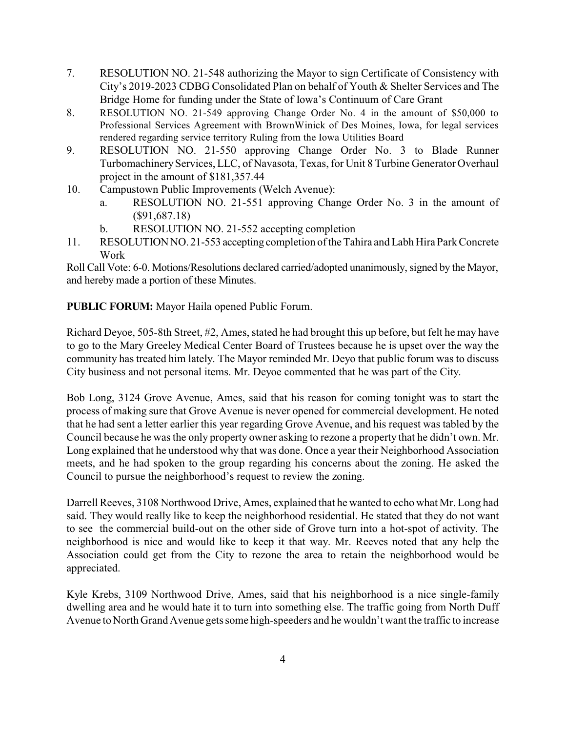- 7. RESOLUTION NO. 21-548 authorizing the Mayor to sign Certificate of Consistency with City's 2019-2023 CDBG Consolidated Plan on behalf of Youth & Shelter Services and The Bridge Home for funding under the State of Iowa's Continuum of Care Grant
- 8. RESOLUTION NO. 21-549 approving Change Order No. 4 in the amount of \$50,000 to Professional Services Agreement with BrownWinick of Des Moines, Iowa, for legal services rendered regarding service territory Ruling from the Iowa Utilities Board
- 9. RESOLUTION NO. 21-550 approving Change Order No. 3 to Blade Runner TurbomachineryServices, LLC, of Navasota, Texas, for Unit 8 Turbine Generator Overhaul project in the amount of \$181,357.44
- 10. Campustown Public Improvements (Welch Avenue):
	- a. RESOLUTION NO. 21-551 approving Change Order No. 3 in the amount of (\$91,687.18)
	- b. RESOLUTION NO. 21-552 accepting completion
- 11. RESOLUTIONNO. 21-553 accepting completion of the Tahira and Labh Hira Park Concrete Work

Roll Call Vote: 6-0. Motions/Resolutions declared carried/adopted unanimously, signed by the Mayor, and hereby made a portion of these Minutes.

**PUBLIC FORUM:** Mayor Haila opened Public Forum.

Richard Deyoe, 505-8th Street, #2, Ames, stated he had brought this up before, but felt he may have to go to the Mary Greeley Medical Center Board of Trustees because he is upset over the way the community has treated him lately. The Mayor reminded Mr. Deyo that public forum was to discuss City business and not personal items. Mr. Deyoe commented that he was part of the City.

Bob Long, 3124 Grove Avenue, Ames, said that his reason for coming tonight was to start the process of making sure that Grove Avenue is never opened for commercial development. He noted that he had sent a letter earlier this year regarding Grove Avenue, and his request was tabled by the Council because he was the only property owner asking to rezone a property that he didn't own. Mr. Long explained that he understood why that was done. Once a year their Neighborhood Association meets, and he had spoken to the group regarding his concerns about the zoning. He asked the Council to pursue the neighborhood's request to review the zoning.

Darrell Reeves, 3108 Northwood Drive, Ames, explained that he wanted to echo what Mr. Long had said. They would really like to keep the neighborhood residential. He stated that they do not want to see the commercial build-out on the other side of Grove turn into a hot-spot of activity. The neighborhood is nice and would like to keep it that way. Mr. Reeves noted that any help the Association could get from the City to rezone the area to retain the neighborhood would be appreciated.

Kyle Krebs, 3109 Northwood Drive, Ames, said that his neighborhood is a nice single-family dwelling area and he would hate it to turn into something else. The traffic going from North Duff Avenue to North Grand Avenue gets some high-speeders and he wouldn't want the traffic to increase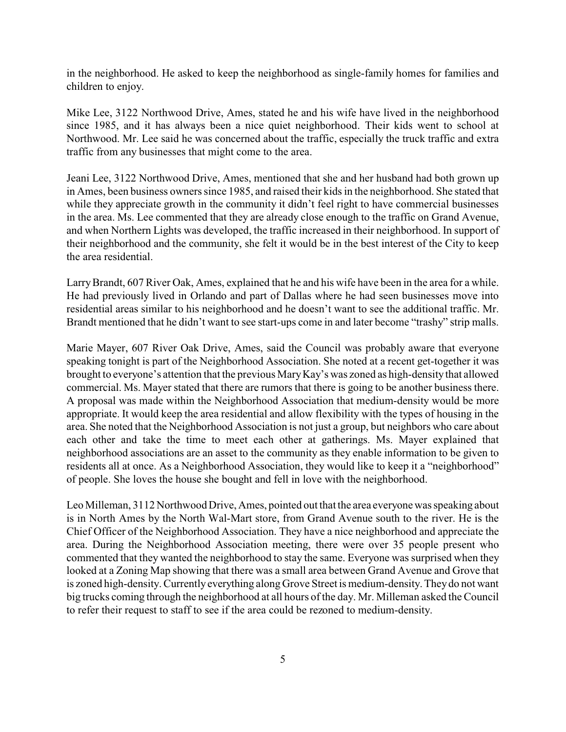in the neighborhood. He asked to keep the neighborhood as single-family homes for families and children to enjoy.

Mike Lee, 3122 Northwood Drive, Ames, stated he and his wife have lived in the neighborhood since 1985, and it has always been a nice quiet neighborhood. Their kids went to school at Northwood. Mr. Lee said he was concerned about the traffic, especially the truck traffic and extra traffic from any businesses that might come to the area.

Jeani Lee, 3122 Northwood Drive, Ames, mentioned that she and her husband had both grown up in Ames, been business owners since 1985, and raised their kids in the neighborhood. She stated that while they appreciate growth in the community it didn't feel right to have commercial businesses in the area. Ms. Lee commented that they are already close enough to the traffic on Grand Avenue, and when Northern Lights was developed, the traffic increased in their neighborhood. In support of their neighborhood and the community, she felt it would be in the best interest of the City to keep the area residential.

LarryBrandt, 607 River Oak, Ames, explained that he and his wife have been in the area for a while. He had previously lived in Orlando and part of Dallas where he had seen businesses move into residential areas similar to his neighborhood and he doesn't want to see the additional traffic. Mr. Brandt mentioned that he didn't want to see start-ups come in and later become "trashy" strip malls.

Marie Mayer, 607 River Oak Drive, Ames, said the Council was probably aware that everyone speaking tonight is part of the Neighborhood Association. She noted at a recent get-together it was brought to everyone's attention that the previous MaryKay's was zoned as high-density that allowed commercial. Ms. Mayer stated that there are rumors that there is going to be another business there. A proposal was made within the Neighborhood Association that medium-density would be more appropriate. It would keep the area residential and allow flexibility with the types of housing in the area. She noted that the Neighborhood Association is not just a group, but neighbors who care about each other and take the time to meet each other at gatherings. Ms. Mayer explained that neighborhood associations are an asset to the community as they enable information to be given to residents all at once. As a Neighborhood Association, they would like to keep it a "neighborhood" of people. She loves the house she bought and fell in love with the neighborhood.

Leo Milleman, 3112 Northwood Drive, Ames, pointed out that the area everyone was speaking about is in North Ames by the North Wal-Mart store, from Grand Avenue south to the river. He is the Chief Officer of the Neighborhood Association. They have a nice neighborhood and appreciate the area. During the Neighborhood Association meeting, there were over 35 people present who commented that they wanted the neighborhood to stay the same. Everyone was surprised when they looked at a Zoning Map showing that there was a small area between Grand Avenue and Grove that is zoned high-density. Currently everything along Grove Street is medium-density.Theydo not want big trucks coming through the neighborhood at all hours of the day. Mr. Milleman asked the Council to refer their request to staff to see if the area could be rezoned to medium-density.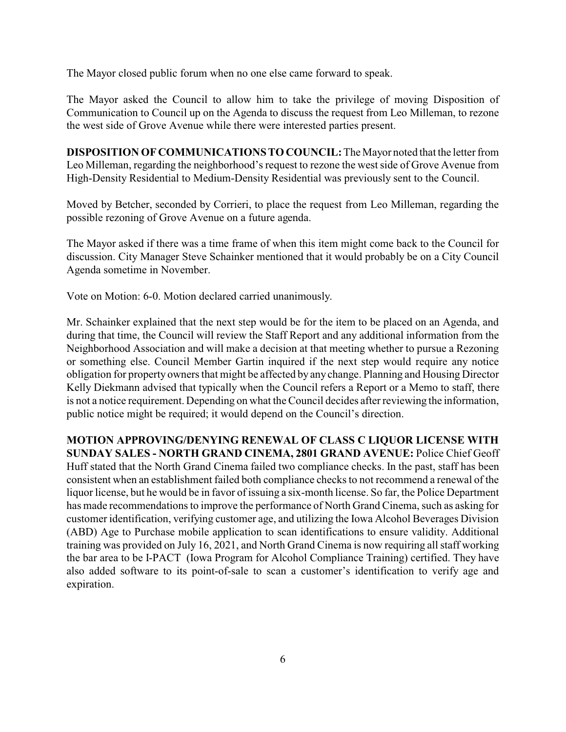The Mayor closed public forum when no one else came forward to speak.

The Mayor asked the Council to allow him to take the privilege of moving Disposition of Communication to Council up on the Agenda to discuss the request from Leo Milleman, to rezone the west side of Grove Avenue while there were interested parties present.

**DISPOSITION OF COMMUNICATIONS TO COUNCIL:**The Mayor noted that the letter from Leo Milleman, regarding the neighborhood's request to rezone the west side of Grove Avenue from High-Density Residential to Medium-Density Residential was previously sent to the Council.

Moved by Betcher, seconded by Corrieri, to place the request from Leo Milleman, regarding the possible rezoning of Grove Avenue on a future agenda.

The Mayor asked if there was a time frame of when this item might come back to the Council for discussion. City Manager Steve Schainker mentioned that it would probably be on a City Council Agenda sometime in November.

Vote on Motion: 6-0. Motion declared carried unanimously.

Mr. Schainker explained that the next step would be for the item to be placed on an Agenda, and during that time, the Council will review the Staff Report and any additional information from the Neighborhood Association and will make a decision at that meeting whether to pursue a Rezoning or something else. Council Member Gartin inquired if the next step would require any notice obligation for property owners that might be affected by any change. Planning and Housing Director Kelly Diekmann advised that typically when the Council refers a Report or a Memo to staff, there is not a notice requirement. Depending on what the Council decides after reviewing the information, public notice might be required; it would depend on the Council's direction.

**MOTION APPROVING/DENYING RENEWAL OF CLASS C LIQUOR LICENSE WITH SUNDAY SALES - NORTH GRAND CINEMA, 2801 GRAND AVENUE:** Police Chief Geoff Huff stated that the North Grand Cinema failed two compliance checks. In the past, staff has been consistent when an establishment failed both compliance checks to not recommend a renewal of the liquor license, but he would be in favor of issuing a six-month license. So far, the Police Department has made recommendations to improve the performance of North Grand Cinema, such as asking for customer identification, verifying customer age, and utilizing the Iowa Alcohol Beverages Division (ABD) Age to Purchase mobile application to scan identifications to ensure validity. Additional training was provided on July 16, 2021, and North Grand Cinema is now requiring all staff working the bar area to be I-PACT (Iowa Program for Alcohol Compliance Training) certified. They have also added software to its point-of-sale to scan a customer's identification to verify age and expiration.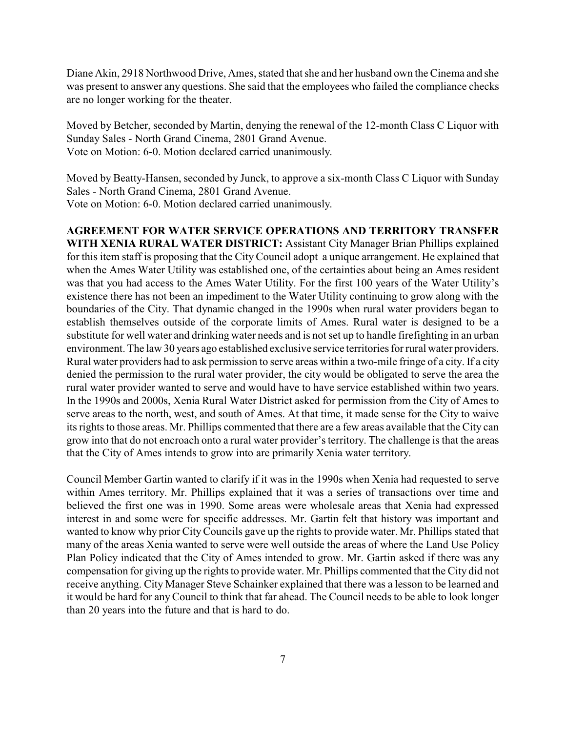Diane Akin, 2918 Northwood Drive, Ames, stated that she and her husband own the Cinema and she was present to answer any questions. She said that the employees who failed the compliance checks are no longer working for the theater.

Moved by Betcher, seconded by Martin, denying the renewal of the 12-month Class C Liquor with Sunday Sales - North Grand Cinema, 2801 Grand Avenue. Vote on Motion: 6-0. Motion declared carried unanimously.

Moved by Beatty-Hansen, seconded by Junck, to approve a six-month Class C Liquor with Sunday Sales - North Grand Cinema, 2801 Grand Avenue. Vote on Motion: 6-0. Motion declared carried unanimously.

**AGREEMENT FOR WATER SERVICE OPERATIONS AND TERRITORY TRANSFER WITH XENIA RURAL WATER DISTRICT:** Assistant City Manager Brian Phillips explained for this item staff is proposing that the City Council adopt a unique arrangement. He explained that when the Ames Water Utility was established one, of the certainties about being an Ames resident was that you had access to the Ames Water Utility. For the first 100 years of the Water Utility's existence there has not been an impediment to the Water Utility continuing to grow along with the boundaries of the City. That dynamic changed in the 1990s when rural water providers began to establish themselves outside of the corporate limits of Ames. Rural water is designed to be a substitute for well water and drinking water needs and is not set up to handle firefighting in an urban environment. The law 30 years ago established exclusive service territories for rural water providers. Rural water providers had to ask permission to serve areas within a two-mile fringe of a city. If a city denied the permission to the rural water provider, the city would be obligated to serve the area the rural water provider wanted to serve and would have to have service established within two years. In the 1990s and 2000s, Xenia Rural Water District asked for permission from the City of Ames to serve areas to the north, west, and south of Ames. At that time, it made sense for the City to waive its rights to those areas. Mr. Phillips commented that there are a few areas available that the City can grow into that do not encroach onto a rural water provider's territory. The challenge is that the areas that the City of Ames intends to grow into are primarily Xenia water territory.

Council Member Gartin wanted to clarify if it was in the 1990s when Xenia had requested to serve within Ames territory. Mr. Phillips explained that it was a series of transactions over time and believed the first one was in 1990. Some areas were wholesale areas that Xenia had expressed interest in and some were for specific addresses. Mr. Gartin felt that history was important and wanted to know why prior CityCouncils gave up the rights to provide water. Mr. Phillips stated that many of the areas Xenia wanted to serve were well outside the areas of where the Land Use Policy Plan Policy indicated that the City of Ames intended to grow. Mr. Gartin asked if there was any compensation for giving up the rights to provide water. Mr. Phillips commented that the City did not receive anything. City Manager Steve Schainker explained that there was a lesson to be learned and it would be hard for anyCouncil to think that far ahead. The Council needs to be able to look longer than 20 years into the future and that is hard to do.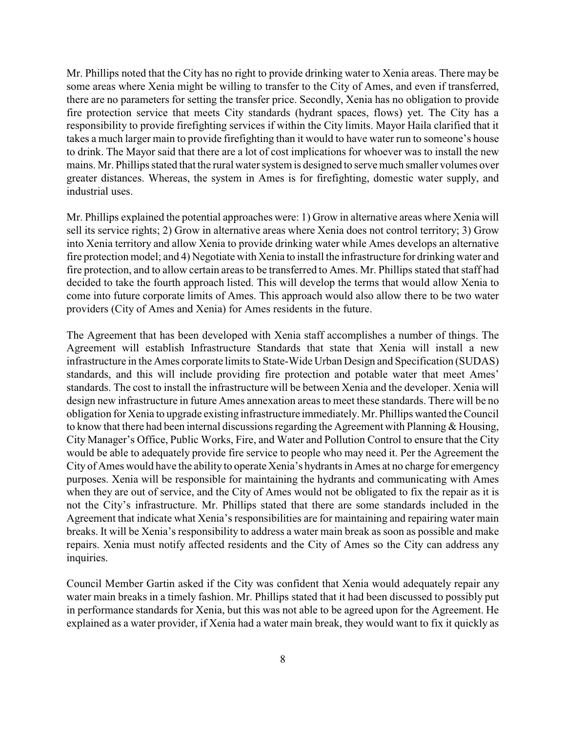Mr. Phillips noted that the City has no right to provide drinking water to Xenia areas. There may be some areas where Xenia might be willing to transfer to the City of Ames, and even if transferred, there are no parameters for setting the transfer price. Secondly, Xenia has no obligation to provide fire protection service that meets City standards (hydrant spaces, flows) yet. The City has a responsibility to provide firefighting services if within the City limits. Mayor Haila clarified that it takes a much larger main to provide firefighting than it would to have water run to someone's house to drink. The Mayor said that there are a lot of cost implications for whoever was to install the new mains. Mr. Phillips stated that the rural water system is designed to serve much smaller volumes over greater distances. Whereas, the system in Ames is for firefighting, domestic water supply, and industrial uses.

Mr. Phillips explained the potential approaches were: 1) Grow in alternative areas where Xenia will sell its service rights; 2) Grow in alternative areas where Xenia does not control territory; 3) Grow into Xenia territory and allow Xenia to provide drinking water while Ames develops an alternative fire protection model; and 4) Negotiate with Xenia to install the infrastructure for drinking water and fire protection, and to allow certain areas to be transferred to Ames. Mr. Phillips stated that staff had decided to take the fourth approach listed. This will develop the terms that would allow Xenia to come into future corporate limits of Ames. This approach would also allow there to be two water providers (City of Ames and Xenia) for Ames residents in the future.

The Agreement that has been developed with Xenia staff accomplishes a number of things. The Agreement will establish Infrastructure Standards that state that Xenia will install a new infrastructure in the Ames corporate limits to State-Wide Urban Design and Specification (SUDAS) standards, and this will include providing fire protection and potable water that meet Ames' standards. The cost to install the infrastructure will be between Xenia and the developer. Xenia will design new infrastructure in future Ames annexation areas to meet these standards. There will be no obligation for Xenia to upgrade existing infrastructure immediately. Mr. Phillips wanted the Council to know that there had been internal discussions regarding the Agreement with Planning & Housing, City Manager's Office, Public Works, Fire, and Water and Pollution Control to ensure that the City would be able to adequately provide fire service to people who may need it. Per the Agreement the City of Ames would have the ability to operate Xenia's hydrants in Ames at no charge for emergency purposes. Xenia will be responsible for maintaining the hydrants and communicating with Ames when they are out of service, and the City of Ames would not be obligated to fix the repair as it is not the City's infrastructure. Mr. Phillips stated that there are some standards included in the Agreement that indicate what Xenia's responsibilities are for maintaining and repairing water main breaks. It will be Xenia's responsibility to address a water main break as soon as possible and make repairs. Xenia must notify affected residents and the City of Ames so the City can address any inquiries.

Council Member Gartin asked if the City was confident that Xenia would adequately repair any water main breaks in a timely fashion. Mr. Phillips stated that it had been discussed to possibly put in performance standards for Xenia, but this was not able to be agreed upon for the Agreement. He explained as a water provider, if Xenia had a water main break, they would want to fix it quickly as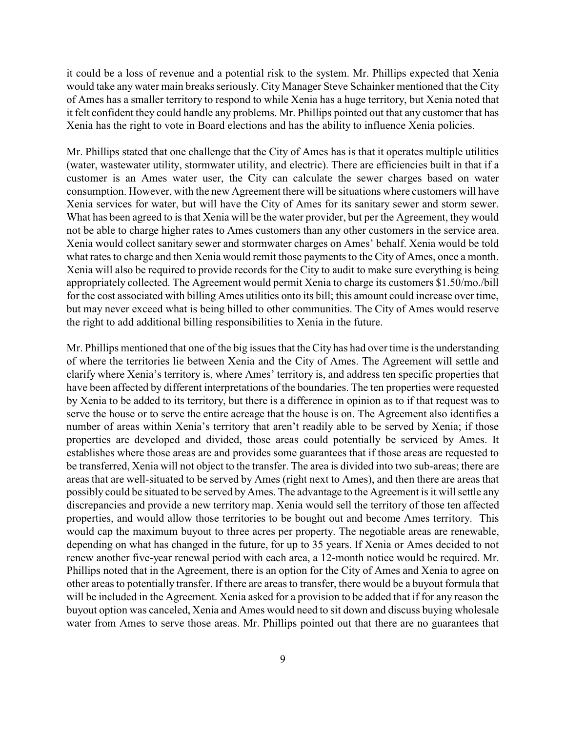it could be a loss of revenue and a potential risk to the system. Mr. Phillips expected that Xenia would take any water main breaks seriously. City Manager Steve Schainker mentioned that the City of Ames has a smaller territory to respond to while Xenia has a huge territory, but Xenia noted that it felt confident they could handle any problems. Mr. Phillips pointed out that any customer that has Xenia has the right to vote in Board elections and has the ability to influence Xenia policies.

Mr. Phillips stated that one challenge that the City of Ames has is that it operates multiple utilities (water, wastewater utility, stormwater utility, and electric). There are efficiencies built in that if a customer is an Ames water user, the City can calculate the sewer charges based on water consumption. However, with the new Agreement there will be situations where customers will have Xenia services for water, but will have the City of Ames for its sanitary sewer and storm sewer. What has been agreed to is that Xenia will be the water provider, but per the Agreement, they would not be able to charge higher rates to Ames customers than any other customers in the service area. Xenia would collect sanitary sewer and stormwater charges on Ames' behalf. Xenia would be told what rates to charge and then Xenia would remit those payments to the City of Ames, once a month. Xenia will also be required to provide records for the City to audit to make sure everything is being appropriately collected. The Agreement would permit Xenia to charge its customers \$1.50/mo./bill for the cost associated with billing Ames utilities onto its bill; this amount could increase over time, but may never exceed what is being billed to other communities. The City of Ames would reserve the right to add additional billing responsibilities to Xenia in the future.

Mr. Phillips mentioned that one of the big issues that the City has had over time is the understanding of where the territories lie between Xenia and the City of Ames. The Agreement will settle and clarify where Xenia's territory is, where Ames' territory is, and address ten specific properties that have been affected by different interpretations of the boundaries. The ten properties were requested by Xenia to be added to its territory, but there is a difference in opinion as to if that request was to serve the house or to serve the entire acreage that the house is on. The Agreement also identifies a number of areas within Xenia's territory that aren't readily able to be served by Xenia; if those properties are developed and divided, those areas could potentially be serviced by Ames. It establishes where those areas are and provides some guarantees that if those areas are requested to be transferred, Xenia will not object to the transfer. The area is divided into two sub-areas; there are areas that are well-situated to be served by Ames (right next to Ames), and then there are areas that possibly could be situated to be served by Ames. The advantage to the Agreement is it will settle any discrepancies and provide a new territory map. Xenia would sell the territory of those ten affected properties, and would allow those territories to be bought out and become Ames territory. This would cap the maximum buyout to three acres per property. The negotiable areas are renewable, depending on what has changed in the future, for up to 35 years. If Xenia or Ames decided to not renew another five-year renewal period with each area, a 12-month notice would be required. Mr. Phillips noted that in the Agreement, there is an option for the City of Ames and Xenia to agree on other areas to potentially transfer. If there are areas to transfer, there would be a buyout formula that will be included in the Agreement. Xenia asked for a provision to be added that if for any reason the buyout option was canceled, Xenia and Ames would need to sit down and discuss buying wholesale water from Ames to serve those areas. Mr. Phillips pointed out that there are no guarantees that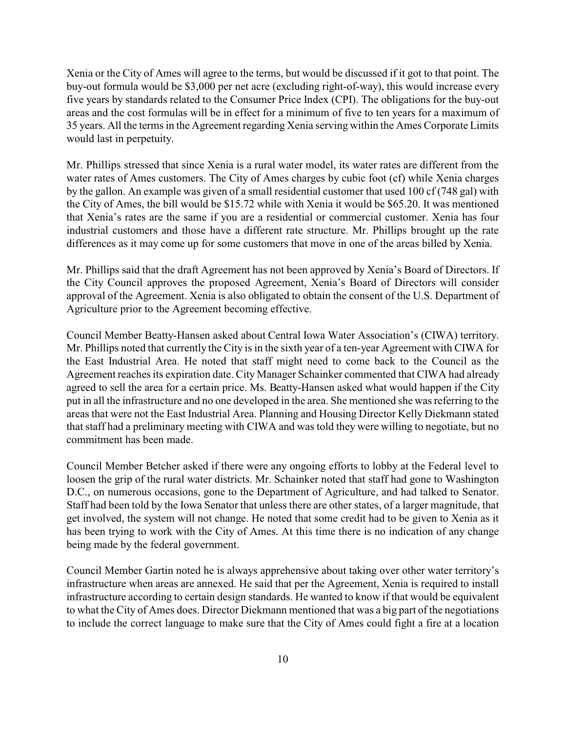Xenia or the City of Ames will agree to the terms, but would be discussed if it got to that point. The buy-out formula would be \$3,000 per net acre (excluding right-of-way), this would increase every five years by standards related to the Consumer Price Index (CPI). The obligations for the buy-out areas and the cost formulas will be in effect for a minimum of five to ten years for a maximum of 35 years. All the terms in the Agreement regarding Xenia serving within the Ames Corporate Limits would last in perpetuity.

Mr. Phillips stressed that since Xenia is a rural water model, its water rates are different from the water rates of Ames customers. The City of Ames charges by cubic foot (cf) while Xenia charges by the gallon. An example was given of a small residential customer that used 100 cf (748 gal) with the City of Ames, the bill would be \$15.72 while with Xenia it would be \$65.20. It was mentioned that Xenia's rates are the same if you are a residential or commercial customer. Xenia has four industrial customers and those have a different rate structure. Mr. Phillips brought up the rate differences as it may come up for some customers that move in one of the areas billed by Xenia.

Mr. Phillips said that the draft Agreement has not been approved by Xenia's Board of Directors. If the City Council approves the proposed Agreement, Xenia's Board of Directors will consider approval of the Agreement. Xenia is also obligated to obtain the consent of the U.S. Department of Agriculture prior to the Agreement becoming effective.

Council Member Beatty-Hansen asked about Central Iowa Water Association's (CIWA) territory. Mr. Phillips noted that currently the City is in the sixth year of a ten-year Agreement with CIWA for the East Industrial Area. He noted that staff might need to come back to the Council as the Agreement reaches its expiration date. City Manager Schainker commented that CIWA had already agreed to sell the area for a certain price. Ms. Beatty-Hansen asked what would happen if the City put in all the infrastructure and no one developed in the area. She mentioned she was referring to the areas that were not the East Industrial Area. Planning and Housing Director Kelly Diekmann stated that staff had a preliminary meeting with CIWA and was told they were willing to negotiate, but no commitment has been made.

Council Member Betcher asked if there were any ongoing efforts to lobby at the Federal level to loosen the grip of the rural water districts. Mr. Schainker noted that staff had gone to Washington D.C., on numerous occasions, gone to the Department of Agriculture, and had talked to Senator. Staff had been told by the Iowa Senator that unless there are other states, of a larger magnitude, that get involved, the system will not change. He noted that some credit had to be given to Xenia as it has been trying to work with the City of Ames. At this time there is no indication of any change being made by the federal government.

Council Member Gartin noted he is always apprehensive about taking over other water territory's infrastructure when areas are annexed. He said that per the Agreement, Xenia is required to install infrastructure according to certain design standards. He wanted to know if that would be equivalent to what the City of Ames does. Director Diekmann mentioned that was a big part of the negotiations to include the correct language to make sure that the City of Ames could fight a fire at a location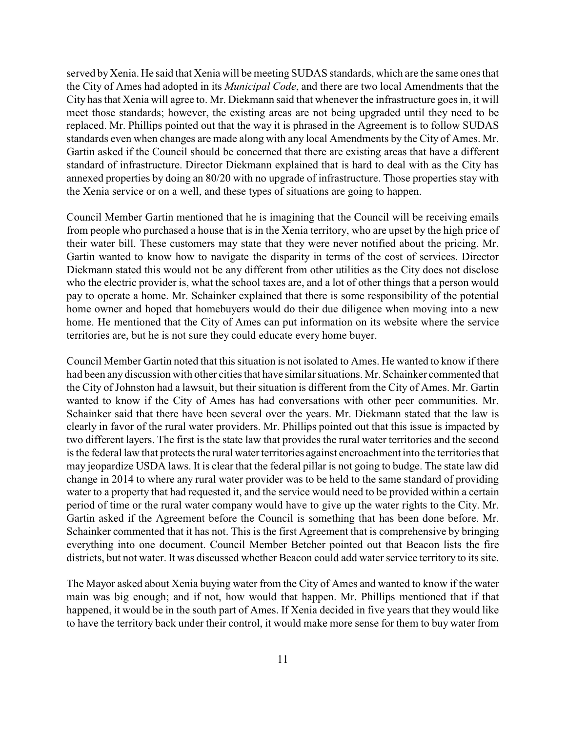served by Xenia. He said that Xenia will be meeting SUDAS standards, which are the same ones that the City of Ames had adopted in its *Municipal Code*, and there are two local Amendments that the City has that Xenia will agree to. Mr. Diekmann said that whenever the infrastructure goes in, it will meet those standards; however, the existing areas are not being upgraded until they need to be replaced. Mr. Phillips pointed out that the way it is phrased in the Agreement is to follow SUDAS standards even when changes are made along with any local Amendments by the City of Ames. Mr. Gartin asked if the Council should be concerned that there are existing areas that have a different standard of infrastructure. Director Diekmann explained that is hard to deal with as the City has annexed properties by doing an 80/20 with no upgrade of infrastructure. Those properties stay with the Xenia service or on a well, and these types of situations are going to happen.

Council Member Gartin mentioned that he is imagining that the Council will be receiving emails from people who purchased a house that is in the Xenia territory, who are upset by the high price of their water bill. These customers may state that they were never notified about the pricing. Mr. Gartin wanted to know how to navigate the disparity in terms of the cost of services. Director Diekmann stated this would not be any different from other utilities as the City does not disclose who the electric provider is, what the school taxes are, and a lot of other things that a person would pay to operate a home. Mr. Schainker explained that there is some responsibility of the potential home owner and hoped that homebuyers would do their due diligence when moving into a new home. He mentioned that the City of Ames can put information on its website where the service territories are, but he is not sure they could educate every home buyer.

Council Member Gartin noted that this situation is not isolated to Ames. He wanted to know if there had been any discussion with other cities that have similar situations. Mr. Schainker commented that the City of Johnston had a lawsuit, but their situation is different from the City of Ames. Mr. Gartin wanted to know if the City of Ames has had conversations with other peer communities. Mr. Schainker said that there have been several over the years. Mr. Diekmann stated that the law is clearly in favor of the rural water providers. Mr. Phillips pointed out that this issue is impacted by two different layers. The first is the state law that provides the rural water territories and the second is the federal law that protects the rural water territories against encroachment into the territories that may jeopardize USDA laws. It is clear that the federal pillar is not going to budge. The state law did change in 2014 to where any rural water provider was to be held to the same standard of providing water to a property that had requested it, and the service would need to be provided within a certain period of time or the rural water company would have to give up the water rights to the City. Mr. Gartin asked if the Agreement before the Council is something that has been done before. Mr. Schainker commented that it has not. This is the first Agreement that is comprehensive by bringing everything into one document. Council Member Betcher pointed out that Beacon lists the fire districts, but not water. It was discussed whether Beacon could add water service territory to its site.

The Mayor asked about Xenia buying water from the City of Ames and wanted to know if the water main was big enough; and if not, how would that happen. Mr. Phillips mentioned that if that happened, it would be in the south part of Ames. If Xenia decided in five years that they would like to have the territory back under their control, it would make more sense for them to buy water from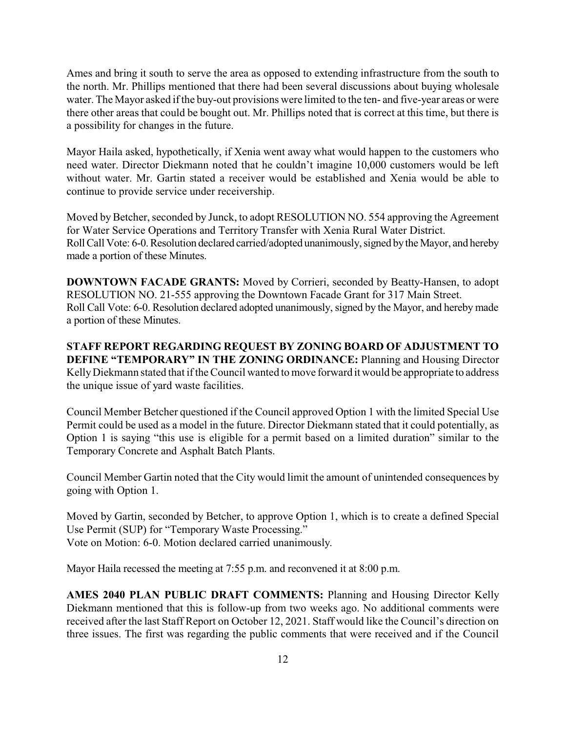Ames and bring it south to serve the area as opposed to extending infrastructure from the south to the north. Mr. Phillips mentioned that there had been several discussions about buying wholesale water. The Mayor asked if the buy-out provisions were limited to the ten- and five-year areas or were there other areas that could be bought out. Mr. Phillips noted that is correct at this time, but there is a possibility for changes in the future.

Mayor Haila asked, hypothetically, if Xenia went away what would happen to the customers who need water. Director Diekmann noted that he couldn't imagine 10,000 customers would be left without water. Mr. Gartin stated a receiver would be established and Xenia would be able to continue to provide service under receivership.

Moved by Betcher, seconded by Junck, to adopt RESOLUTION NO. 554 approving the Agreement for Water Service Operations and Territory Transfer with Xenia Rural Water District. Roll Call Vote: 6-0. Resolution declared carried/adopted unanimously, signed by the Mayor, and hereby made a portion of these Minutes.

**DOWNTOWN FACADE GRANTS:** Moved by Corrieri, seconded by Beatty-Hansen, to adopt RESOLUTION NO. 21-555 approving the Downtown Facade Grant for 317 Main Street. Roll Call Vote: 6-0. Resolution declared adopted unanimously, signed by the Mayor, and hereby made a portion of these Minutes.

**STAFF REPORT REGARDING REQUEST BY ZONING BOARD OF ADJUSTMENT TO DEFINE "TEMPORARY" IN THE ZONING ORDINANCE:** Planning and Housing Director Kelly Diekmann stated that if the Council wanted to move forward it would be appropriate to address the unique issue of yard waste facilities.

Council Member Betcher questioned if the Council approved Option 1 with the limited Special Use Permit could be used as a model in the future. Director Diekmann stated that it could potentially, as Option 1 is saying "this use is eligible for a permit based on a limited duration" similar to the Temporary Concrete and Asphalt Batch Plants.

Council Member Gartin noted that the City would limit the amount of unintended consequences by going with Option 1.

Moved by Gartin, seconded by Betcher, to approve Option 1, which is to create a defined Special Use Permit (SUP) for "Temporary Waste Processing." Vote on Motion: 6-0. Motion declared carried unanimously.

Mayor Haila recessed the meeting at 7:55 p.m. and reconvened it at 8:00 p.m.

**AMES 2040 PLAN PUBLIC DRAFT COMMENTS:** Planning and Housing Director Kelly Diekmann mentioned that this is follow-up from two weeks ago. No additional comments were received after the last Staff Report on October 12, 2021. Staff would like the Council's direction on three issues. The first was regarding the public comments that were received and if the Council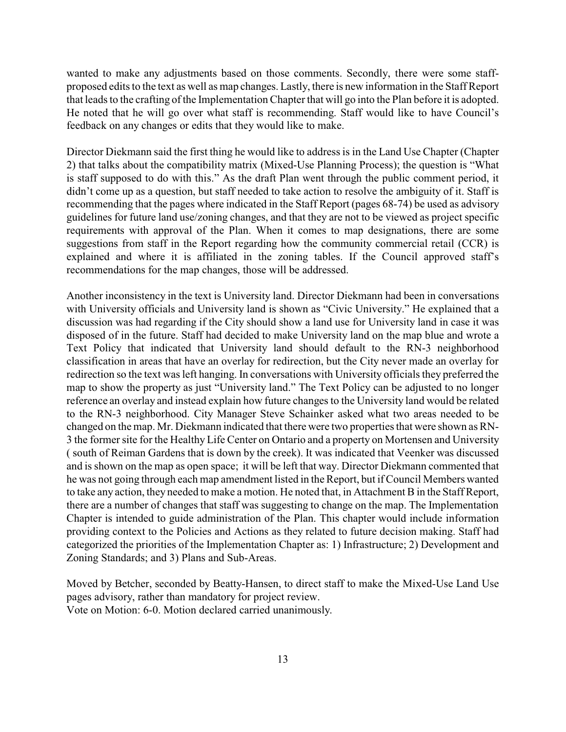wanted to make any adjustments based on those comments. Secondly, there were some staffproposed edits to the text as well as map changes. Lastly, there is new information in the Staff Report that leads to the crafting of the Implementation Chapter that will go into the Plan before it is adopted. He noted that he will go over what staff is recommending. Staff would like to have Council's feedback on any changes or edits that they would like to make.

Director Diekmann said the first thing he would like to address is in the Land Use Chapter (Chapter 2) that talks about the compatibility matrix (Mixed-Use Planning Process); the question is "What is staff supposed to do with this." As the draft Plan went through the public comment period, it didn't come up as a question, but staff needed to take action to resolve the ambiguity of it. Staff is recommending that the pages where indicated in the Staff Report (pages 68-74) be used as advisory guidelines for future land use/zoning changes, and that they are not to be viewed as project specific requirements with approval of the Plan. When it comes to map designations, there are some suggestions from staff in the Report regarding how the community commercial retail (CCR) is explained and where it is affiliated in the zoning tables. If the Council approved staff's recommendations for the map changes, those will be addressed.

Another inconsistency in the text is University land. Director Diekmann had been in conversations with University officials and University land is shown as "Civic University." He explained that a discussion was had regarding if the City should show a land use for University land in case it was disposed of in the future. Staff had decided to make University land on the map blue and wrote a Text Policy that indicated that University land should default to the RN-3 neighborhood classification in areas that have an overlay for redirection, but the City never made an overlay for redirection so the text was left hanging. In conversations with University officials they preferred the map to show the property as just "University land." The Text Policy can be adjusted to no longer reference an overlay and instead explain how future changes to the University land would be related to the RN-3 neighborhood. City Manager Steve Schainker asked what two areas needed to be changed on the map. Mr. Diekmann indicated that there were two properties that were shown as RN-3 the former site for the Healthy Life Center on Ontario and a property on Mortensen and University ( south of Reiman Gardens that is down by the creek). It was indicated that Veenker was discussed and is shown on the map as open space; it will be left that way. Director Diekmann commented that he was not going through each map amendment listed in the Report, but if Council Members wanted to take any action, they needed to make a motion. He noted that, in Attachment B in the Staff Report, there are a number of changes that staff was suggesting to change on the map. The Implementation Chapter is intended to guide administration of the Plan. This chapter would include information providing context to the Policies and Actions as they related to future decision making. Staff had categorized the priorities of the Implementation Chapter as: 1) Infrastructure; 2) Development and Zoning Standards; and 3) Plans and Sub-Areas.

Moved by Betcher, seconded by Beatty-Hansen, to direct staff to make the Mixed-Use Land Use pages advisory, rather than mandatory for project review. Vote on Motion: 6-0. Motion declared carried unanimously.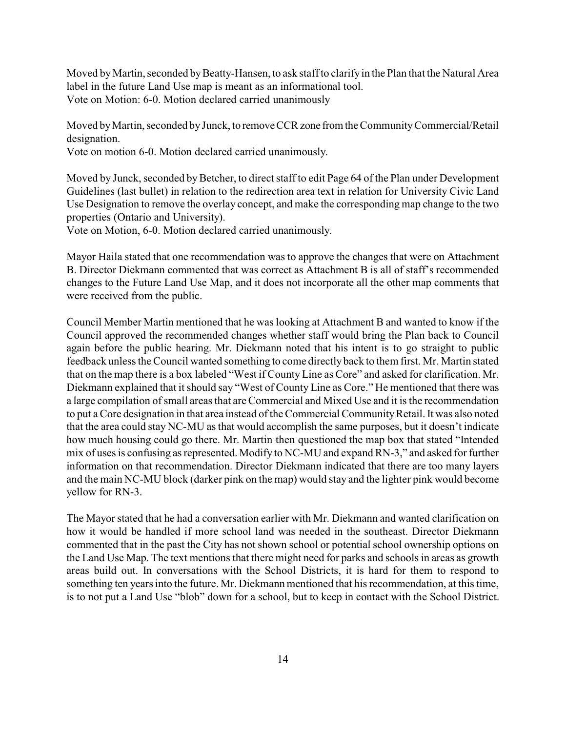Moved by Martin, seconded by Beatty-Hansen, to ask staff to clarify in the Plan that the Natural Area label in the future Land Use map is meant as an informational tool. Vote on Motion: 6-0. Motion declared carried unanimously

Moved byMartin, seconded byJunck, to removeCCRzone fromthe CommunityCommercial/Retail designation.

Vote on motion 6-0. Motion declared carried unanimously.

Moved by Junck, seconded by Betcher, to direct staff to edit Page 64 of the Plan under Development Guidelines (last bullet) in relation to the redirection area text in relation for University Civic Land Use Designation to remove the overlay concept, and make the corresponding map change to the two properties (Ontario and University).

Vote on Motion, 6-0. Motion declared carried unanimously.

Mayor Haila stated that one recommendation was to approve the changes that were on Attachment B. Director Diekmann commented that was correct as Attachment B is all of staff's recommended changes to the Future Land Use Map, and it does not incorporate all the other map comments that were received from the public.

Council Member Martin mentioned that he was looking at Attachment B and wanted to know if the Council approved the recommended changes whether staff would bring the Plan back to Council again before the public hearing. Mr. Diekmann noted that his intent is to go straight to public feedback unless the Council wanted something to come directlyback to them first. Mr. Martin stated that on the map there is a box labeled "West if County Line as Core" and asked for clarification. Mr. Diekmann explained that it should say "West of County Line as Core." He mentioned that there was a large compilation of small areas that are Commercial and Mixed Use and it is the recommendation to put a Core designation in that area instead of the Commercial Community Retail. It was also noted that the area could stay NC-MU as that would accomplish the same purposes, but it doesn't indicate how much housing could go there. Mr. Martin then questioned the map box that stated "Intended mix of uses is confusing as represented. Modify to NC-MU and expand RN-3," and asked for further information on that recommendation. Director Diekmann indicated that there are too many layers and the main NC-MU block (darker pink on the map) would stay and the lighter pink would become yellow for RN-3.

The Mayor stated that he had a conversation earlier with Mr. Diekmann and wanted clarification on how it would be handled if more school land was needed in the southeast. Director Diekmann commented that in the past the City has not shown school or potential school ownership options on the Land Use Map. The text mentions that there might need for parks and schools in areas as growth areas build out. In conversations with the School Districts, it is hard for them to respond to something ten years into the future. Mr. Diekmann mentioned that his recommendation, at this time, is to not put a Land Use "blob" down for a school, but to keep in contact with the School District.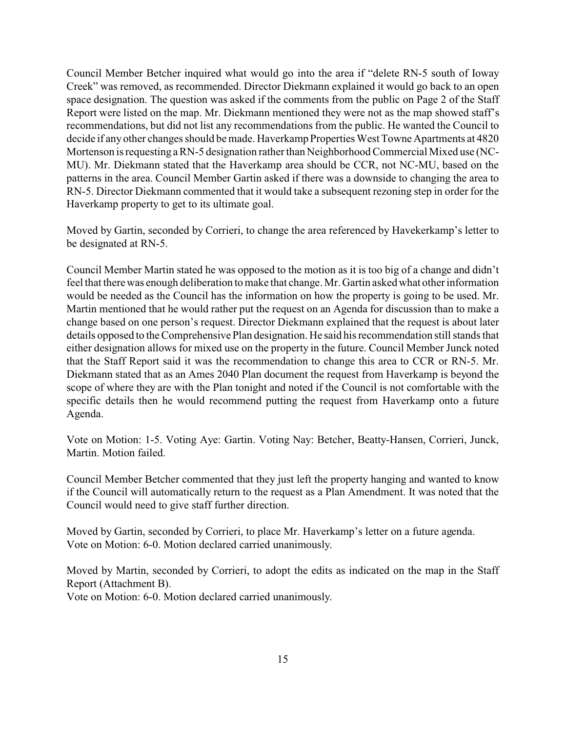Council Member Betcher inquired what would go into the area if "delete RN-5 south of Ioway Creek" was removed, as recommended. Director Diekmann explained it would go back to an open space designation. The question was asked if the comments from the public on Page 2 of the Staff Report were listed on the map. Mr. Diekmann mentioned they were not as the map showed staff's recommendations, but did not list any recommendations from the public. He wanted the Council to decide if any other changes should be made. Haverkamp Properties West Towne Apartments at 4820 Mortenson is requesting a RN-5 designation rather than Neighborhood Commercial Mixed use (NC-MU). Mr. Diekmann stated that the Haverkamp area should be CCR, not NC-MU, based on the patterns in the area. Council Member Gartin asked if there was a downside to changing the area to RN-5. Director Diekmann commented that it would take a subsequent rezoning step in order for the Haverkamp property to get to its ultimate goal.

Moved by Gartin, seconded by Corrieri, to change the area referenced by Havekerkamp's letter to be designated at RN-5.

Council Member Martin stated he was opposed to the motion as it is too big of a change and didn't feel that there was enough deliberation to make that change. Mr. Gartin asked what other information would be needed as the Council has the information on how the property is going to be used. Mr. Martin mentioned that he would rather put the request on an Agenda for discussion than to make a change based on one person's request. Director Diekmann explained that the request is about later details opposed to the Comprehensive Plan designation. He said his recommendation still stands that either designation allows for mixed use on the property in the future. Council Member Junck noted that the Staff Report said it was the recommendation to change this area to CCR or RN-5. Mr. Diekmann stated that as an Ames 2040 Plan document the request from Haverkamp is beyond the scope of where they are with the Plan tonight and noted if the Council is not comfortable with the specific details then he would recommend putting the request from Haverkamp onto a future Agenda.

Vote on Motion: 1-5. Voting Aye: Gartin. Voting Nay: Betcher, Beatty-Hansen, Corrieri, Junck, Martin. Motion failed.

Council Member Betcher commented that they just left the property hanging and wanted to know if the Council will automatically return to the request as a Plan Amendment. It was noted that the Council would need to give staff further direction.

Moved by Gartin, seconded by Corrieri, to place Mr. Haverkamp's letter on a future agenda. Vote on Motion: 6-0. Motion declared carried unanimously.

Moved by Martin, seconded by Corrieri, to adopt the edits as indicated on the map in the Staff Report (Attachment B).

Vote on Motion: 6-0. Motion declared carried unanimously.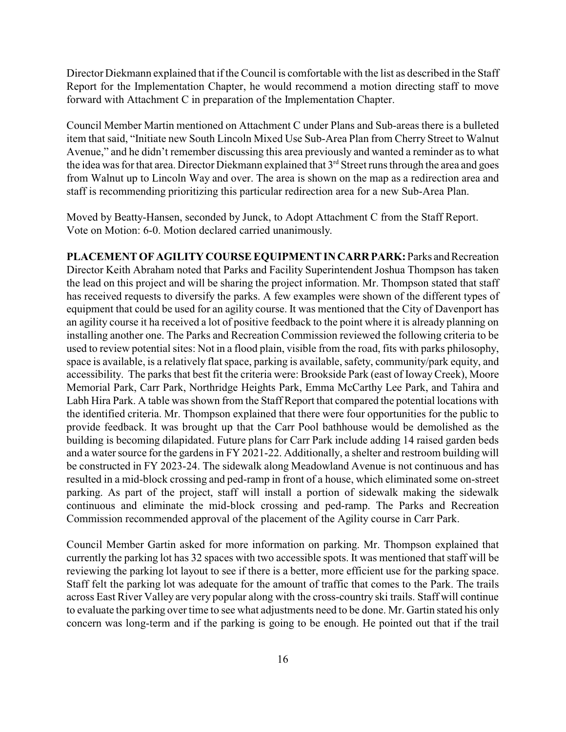Director Diekmann explained that if the Council is comfortable with the list as described in the Staff Report for the Implementation Chapter, he would recommend a motion directing staff to move forward with Attachment C in preparation of the Implementation Chapter.

Council Member Martin mentioned on Attachment C under Plans and Sub-areas there is a bulleted item that said, "Initiate new South Lincoln Mixed Use Sub-Area Plan from Cherry Street to Walnut Avenue," and he didn't remember discussing this area previously and wanted a reminder as to what the idea was for that area. Director Diekmann explained that 3<sup>rd</sup> Street runs through the area and goes from Walnut up to Lincoln Way and over. The area is shown on the map as a redirection area and staff is recommending prioritizing this particular redirection area for a new Sub-Area Plan.

Moved by Beatty-Hansen, seconded by Junck, to Adopt Attachment C from the Staff Report. Vote on Motion: 6-0. Motion declared carried unanimously.

**PLACEMENT OFAGILITY COURSE EQUIPMENT IN CARR PARK:** Parks and Recreation Director Keith Abraham noted that Parks and Facility Superintendent Joshua Thompson has taken the lead on this project and will be sharing the project information. Mr. Thompson stated that staff has received requests to diversify the parks. A few examples were shown of the different types of equipment that could be used for an agility course. It was mentioned that the City of Davenport has an agility course it ha received a lot of positive feedback to the point where it is already planning on installing another one. The Parks and Recreation Commission reviewed the following criteria to be used to review potential sites: Not in a flood plain, visible from the road, fits with parks philosophy, space is available, is a relatively flat space, parking is available, safety, community/park equity, and accessibility. The parks that best fit the criteria were: Brookside Park (east of IowayCreek), Moore Memorial Park, Carr Park, Northridge Heights Park, Emma McCarthy Lee Park, and Tahira and Labh Hira Park. A table was shown from the Staff Report that compared the potential locations with the identified criteria. Mr. Thompson explained that there were four opportunities for the public to provide feedback. It was brought up that the Carr Pool bathhouse would be demolished as the building is becoming dilapidated. Future plans for Carr Park include adding 14 raised garden beds and a water source for the gardens in FY 2021-22. Additionally, a shelter and restroom building will be constructed in FY 2023-24. The sidewalk along Meadowland Avenue is not continuous and has resulted in a mid-block crossing and ped-ramp in front of a house, which eliminated some on-street parking. As part of the project, staff will install a portion of sidewalk making the sidewalk continuous and eliminate the mid-block crossing and ped-ramp. The Parks and Recreation Commission recommended approval of the placement of the Agility course in Carr Park.

Council Member Gartin asked for more information on parking. Mr. Thompson explained that currently the parking lot has 32 spaces with two accessible spots. It was mentioned that staff will be reviewing the parking lot layout to see if there is a better, more efficient use for the parking space. Staff felt the parking lot was adequate for the amount of traffic that comes to the Park. The trails across East River Valley are very popular along with the cross-country ski trails. Staff will continue to evaluate the parking over time to see what adjustments need to be done. Mr. Gartin stated his only concern was long-term and if the parking is going to be enough. He pointed out that if the trail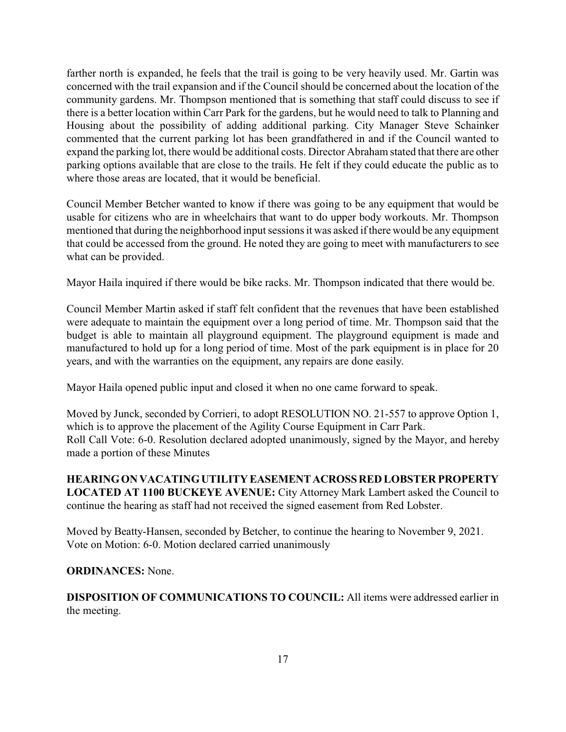farther north is expanded, he feels that the trail is going to be very heavily used. Mr. Gartin was concerned with the trail expansion and if the Council should be concerned about the location of the community gardens. Mr. Thompson mentioned that is something that staff could discuss to see if there is a better location within Carr Park for the gardens, but he would need to talk to Planning and Housing about the possibility of adding additional parking. City Manager Steve Schainker commented that the current parking lot has been grandfathered in and if the Council wanted to expand the parking lot, there would be additional costs. Director Abraham stated that there are other parking options available that are close to the trails. He felt if they could educate the public as to where those areas are located, that it would be beneficial.

Council Member Betcher wanted to know if there was going to be any equipment that would be usable for citizens who are in wheelchairs that want to do upper body workouts. Mr. Thompson mentioned that during the neighborhood input sessions it was asked if there would be any equipment that could be accessed from the ground. He noted they are going to meet with manufacturers to see what can be provided.

Mayor Haila inquired if there would be bike racks. Mr. Thompson indicated that there would be.

Council Member Martin asked if staff felt confident that the revenues that have been established were adequate to maintain the equipment over a long period of time. Mr. Thompson said that the budget is able to maintain all playground equipment. The playground equipment is made and manufactured to hold up for a long period of time. Most of the park equipment is in place for 20 years, and with the warranties on the equipment, any repairs are done easily.

Mayor Haila opened public input and closed it when no one came forward to speak.

Moved by Junck, seconded by Corrieri, to adopt RESOLUTION NO. 21-557 to approve Option 1, which is to approve the placement of the Agility Course Equipment in Carr Park. Roll Call Vote: 6-0. Resolution declared adopted unanimously, signed by the Mayor, and hereby made a portion of these Minutes

**HEARINGON VACATINGUTILITY EASEMENTACROSS RED LOBSTER PROPERTY LOCATED AT 1100 BUCKEYE AVENUE:** City Attorney Mark Lambert asked the Council to continue the hearing as staff had not received the signed easement from Red Lobster.

Moved by Beatty-Hansen, seconded by Betcher, to continue the hearing to November 9, 2021. Vote on Motion: 6-0. Motion declared carried unanimously

#### **ORDINANCES:** None.

**DISPOSITION OF COMMUNICATIONS TO COUNCIL:** All items were addressed earlier in the meeting.